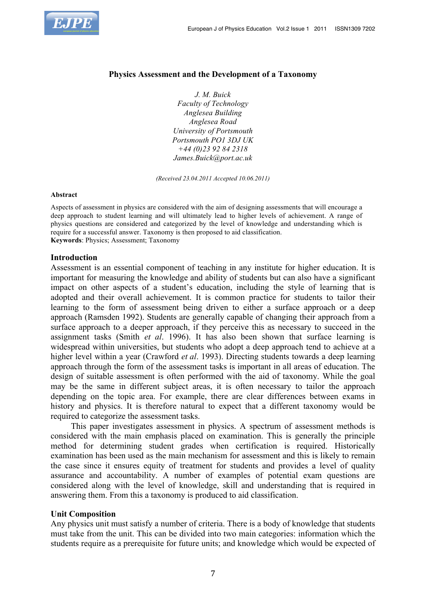

### **Physics Assessment and the Development of a Taxonomy**

*J. M. Buick Faculty of Technology Anglesea Building Anglesea Road University of Portsmouth Portsmouth PO1 3DJ UK +44 (0)23 92 84 2318 James.Buick@port.ac.uk*

*(Received 23.04.2011 Accepted 10.06.2011)*

#### **Abstract**

Aspects of assessment in physics are considered with the aim of designing assessments that will encourage a deep approach to student learning and will ultimately lead to higher levels of achievement. A range of physics questions are considered and categorized by the level of knowledge and understanding which is require for a successful answer. Taxonomy is then proposed to aid classification. **Keywords**: Physics; Assessment; Taxonomy

#### **Introduction**

Assessment is an essential component of teaching in any institute for higher education. It is important for measuring the knowledge and ability of students but can also have a significant impact on other aspects of a student's education, including the style of learning that is adopted and their overall achievement. It is common practice for students to tailor their learning to the form of assessment being driven to either a surface approach or a deep approach (Ramsden 1992). Students are generally capable of changing their approach from a surface approach to a deeper approach, if they perceive this as necessary to succeed in the assignment tasks (Smith *et al*. 1996). It has also been shown that surface learning is widespread within universities, but students who adopt a deep approach tend to achieve at a higher level within a year (Crawford *et al*. 1993). Directing students towards a deep learning approach through the form of the assessment tasks is important in all areas of education. The design of suitable assessment is often performed with the aid of taxonomy. While the goal may be the same in different subject areas, it is often necessary to tailor the approach depending on the topic area. For example, there are clear differences between exams in history and physics. It is therefore natural to expect that a different taxonomy would be required to categorize the assessment tasks.

This paper investigates assessment in physics. A spectrum of assessment methods is considered with the main emphasis placed on examination. This is generally the principle method for determining student grades when certification is required. Historically examination has been used as the main mechanism for assessment and this is likely to remain the case since it ensures equity of treatment for students and provides a level of quality assurance and accountability. A number of examples of potential exam questions are considered along with the level of knowledge, skill and understanding that is required in answering them. From this a taxonomy is produced to aid classification.

### **Unit Composition**

Any physics unit must satisfy a number of criteria. There is a body of knowledge that students must take from the unit. This can be divided into two main categories: information which the students require as a prerequisite for future units; and knowledge which would be expected of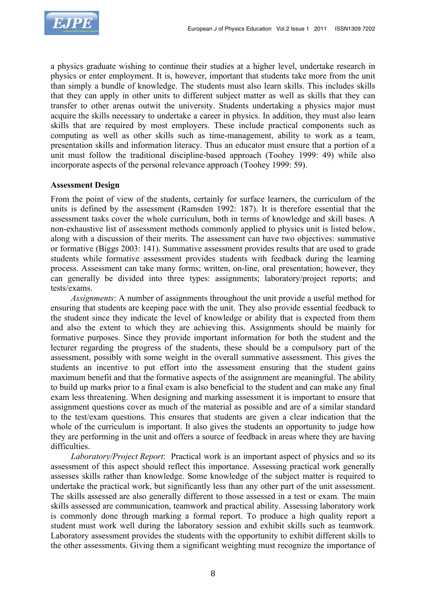

a physics graduate wishing to continue their studies at a higher level, undertake research in physics or enter employment. It is, however, important that students take more from the unit than simply a bundle of knowledge. The students must also learn skills. This includes skills that they can apply in other units to different subject matter as well as skills that they can transfer to other arenas outwit the university. Students undertaking a physics major must acquire the skills necessary to undertake a career in physics. In addition, they must also learn skills that are required by most employers. These include practical components such as computing as well as other skills such as time-management, ability to work as a team, presentation skills and information literacy. Thus an educator must ensure that a portion of a unit must follow the traditional discipline-based approach (Toohey 1999: 49) while also incorporate aspects of the personal relevance approach (Toohey 1999: 59).

# **Assessment Design**

From the point of view of the students, certainly for surface learners, the curriculum of the units is defined by the assessment (Ramsden 1992: 187). It is therefore essential that the assessment tasks cover the whole curriculum, both in terms of knowledge and skill bases. A non-exhaustive list of assessment methods commonly applied to physics unit is listed below, along with a discussion of their merits. The assessment can have two objectives: summative or formative (Biggs 2003: 141). Summative assessment provides results that are used to grade students while formative assessment provides students with feedback during the learning process. Assessment can take many forms; written, on-line, oral presentation; however, they can generally be divided into three types: assignments; laboratory/project reports; and tests/exams.

*Assignments*: A number of assignments throughout the unit provide a useful method for ensuring that students are keeping pace with the unit. They also provide essential feedback to the student since they indicate the level of knowledge or ability that is expected from them and also the extent to which they are achieving this. Assignments should be mainly for formative purposes. Since they provide important information for both the student and the lecturer regarding the progress of the students, these should be a compulsory part of the assessment, possibly with some weight in the overall summative assessment. This gives the students an incentive to put effort into the assessment ensuring that the student gains maximum benefit and that the formative aspects of the assignment are meaningful. The ability to build up marks prior to a final exam is also beneficial to the student and can make any final exam less threatening. When designing and marking assessment it is important to ensure that assignment questions cover as much of the material as possible and are of a similar standard to the test/exam questions. This ensures that students are given a clear indication that the whole of the curriculum is important. It also gives the students an opportunity to judge how they are performing in the unit and offers a source of feedback in areas where they are having difficulties.

*Laboratory/Project Report*: Practical work is an important aspect of physics and so its assessment of this aspect should reflect this importance. Assessing practical work generally assesses skills rather than knowledge. Some knowledge of the subject matter is required to undertake the practical work, but significantly less than any other part of the unit assessment. The skills assessed are also generally different to those assessed in a test or exam. The main skills assessed are communication, teamwork and practical ability. Assessing laboratory work is commonly done through marking a formal report. To produce a high quality report a student must work well during the laboratory session and exhibit skills such as teamwork. Laboratory assessment provides the students with the opportunity to exhibit different skills to the other assessments. Giving them a significant weighting must recognize the importance of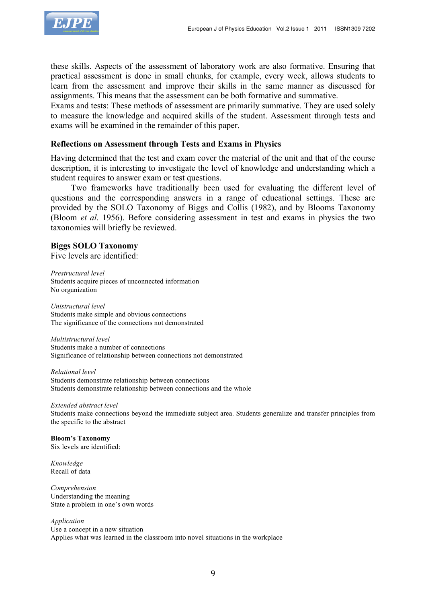

these skills. Aspects of the assessment of laboratory work are also formative. Ensuring that practical assessment is done in small chunks, for example, every week, allows students to learn from the assessment and improve their skills in the same manner as discussed for assignments. This means that the assessment can be both formative and summative.

Exams and tests: These methods of assessment are primarily summative. They are used solely to measure the knowledge and acquired skills of the student. Assessment through tests and exams will be examined in the remainder of this paper.

# **Reflections on Assessment through Tests and Exams in Physics**

Having determined that the test and exam cover the material of the unit and that of the course description, it is interesting to investigate the level of knowledge and understanding which a student requires to answer exam or test questions.

Two frameworks have traditionally been used for evaluating the different level of questions and the corresponding answers in a range of educational settings. These are provided by the SOLO Taxonomy of Biggs and Collis (1982), and by Blooms Taxonomy (Bloom *et al*. 1956). Before considering assessment in test and exams in physics the two taxonomies will briefly be reviewed.

# **Biggs SOLO Taxonomy**

Five levels are identified:

*Prestructural level* Students acquire pieces of unconnected information No organization

*Unistructural level* Students make simple and obvious connections The significance of the connections not demonstrated

*Multistructural level* Students make a number of connections Significance of relationship between connections not demonstrated

*Relational level* Students demonstrate relationship between connections Students demonstrate relationship between connections and the whole

*Extended abstract level* Students make connections beyond the immediate subject area. Students generalize and transfer principles from the specific to the abstract

**Bloom's Taxonomy** Six levels are identified:

*Knowledge* Recall of data

*Comprehension* Understanding the meaning State a problem in one's own words

*Application* Use a concept in a new situation Applies what was learned in the classroom into novel situations in the workplace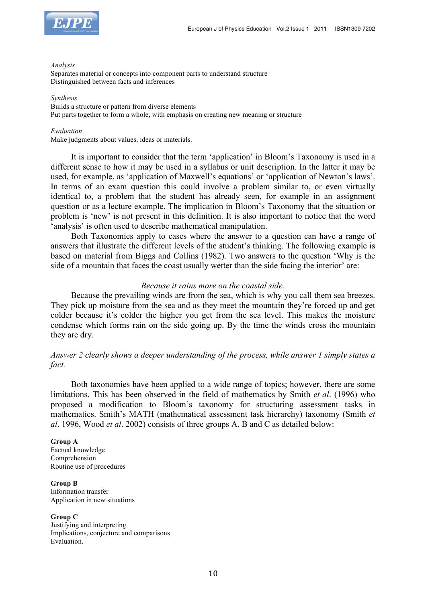



#### *Analysis*

Separates material or concepts into component parts to understand structure Distinguished between facts and inferences

#### *Synthesis*

Builds a structure or pattern from diverse elements Put parts together to form a whole, with emphasis on creating new meaning or structure

#### *Evaluation*

Make judgments about values, ideas or materials.

It is important to consider that the term 'application' in Bloom's Taxonomy is used in a different sense to how it may be used in a syllabus or unit description. In the latter it may be used, for example, as 'application of Maxwell's equations' or 'application of Newton's laws'. In terms of an exam question this could involve a problem similar to, or even virtually identical to, a problem that the student has already seen, for example in an assignment question or as a lecture example. The implication in Bloom's Taxonomy that the situation or problem is 'new' is not present in this definition. It is also important to notice that the word 'analysis' is often used to describe mathematical manipulation.

Both Taxonomies apply to cases where the answer to a question can have a range of answers that illustrate the different levels of the student's thinking. The following example is based on material from Biggs and Collins (1982). Two answers to the question 'Why is the side of a mountain that faces the coast usually wetter than the side facing the interior' are:

### *Because it rains more on the coastal side.*

Because the prevailing winds are from the sea, which is why you call them sea breezes. They pick up moisture from the sea and as they meet the mountain they're forced up and get colder because it's colder the higher you get from the sea level. This makes the moisture condense which forms rain on the side going up. By the time the winds cross the mountain they are dry.

# *Answer 2 clearly shows a deeper understanding of the process, while answer 1 simply states a fact.*

Both taxonomies have been applied to a wide range of topics; however, there are some limitations. This has been observed in the field of mathematics by Smith *et al*. (1996) who proposed a modification to Bloom's taxonomy for structuring assessment tasks in mathematics. Smith's MATH (mathematical assessment task hierarchy) taxonomy (Smith *et al*. 1996, Wood *et al*. 2002) consists of three groups A, B and C as detailed below:

#### **Group A**

Factual knowledge Comprehension Routine use of procedures

**Group B** Information transfer Application in new situations

**Group C** Justifying and interpreting Implications, conjecture and comparisons Evaluation.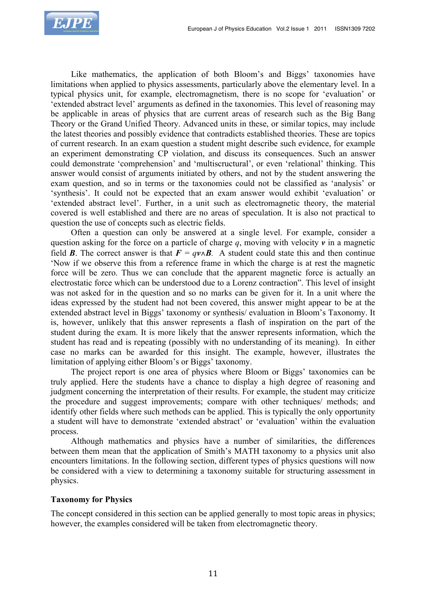

Like mathematics, the application of both Bloom's and Biggs' taxonomies have limitations when applied to physics assessments, particularly above the elementary level. In a typical physics unit, for example, electromagnetism, there is no scope for 'evaluation' or 'extended abstract level' arguments as defined in the taxonomies. This level of reasoning may be applicable in areas of physics that are current areas of research such as the Big Bang Theory or the Grand Unified Theory. Advanced units in these, or similar topics, may include the latest theories and possibly evidence that contradicts established theories. These are topics of current research. In an exam question a student might describe such evidence, for example an experiment demonstrating CP violation, and discuss its consequences. Such an answer could demonstrate 'comprehension' and 'multiscructural', or even 'relational' thinking. This answer would consist of arguments initiated by others, and not by the student answering the exam question, and so in terms or the taxonomies could not be classified as 'analysis' or 'synthesis'. It could not be expected that an exam answer would exhibit 'evaluation' or 'extended abstract level'. Further, in a unit such as electromagnetic theory, the material covered is well established and there are no areas of speculation. It is also not practical to question the use of concepts such as electric fields.

Often a question can only be answered at a single level. For example, consider a question asking for the force on a particle of charge *q*, moving with velocity *v* in a magnetic field *B*. The correct answer is that  $F = qv \wedge B$ . A student could state this and then continue 'Now if we observe this from a reference frame in which the charge is at rest the magnetic force will be zero. Thus we can conclude that the apparent magnetic force is actually an electrostatic force which can be understood due to a Lorenz contraction". This level of insight was not asked for in the question and so no marks can be given for it. In a unit where the ideas expressed by the student had not been covered, this answer might appear to be at the extended abstract level in Biggs' taxonomy or synthesis/ evaluation in Bloom's Taxonomy. It is, however, unlikely that this answer represents a flash of inspiration on the part of the student during the exam. It is more likely that the answer represents information, which the student has read and is repeating (possibly with no understanding of its meaning). In either case no marks can be awarded for this insight. The example, however, illustrates the limitation of applying either Bloom's or Biggs' taxonomy.

The project report is one area of physics where Bloom or Biggs' taxonomies can be truly applied. Here the students have a chance to display a high degree of reasoning and judgment concerning the interpretation of their results. For example, the student may criticize the procedure and suggest improvements; compare with other techniques/ methods; and identify other fields where such methods can be applied. This is typically the only opportunity a student will have to demonstrate 'extended abstract' or 'evaluation' within the evaluation process.

Although mathematics and physics have a number of similarities, the differences between them mean that the application of Smith's MATH taxonomy to a physics unit also encounters limitations. In the following section, different types of physics questions will now be considered with a view to determining a taxonomy suitable for structuring assessment in physics.

## **Taxonomy for Physics**

The concept considered in this section can be applied generally to most topic areas in physics; however, the examples considered will be taken from electromagnetic theory.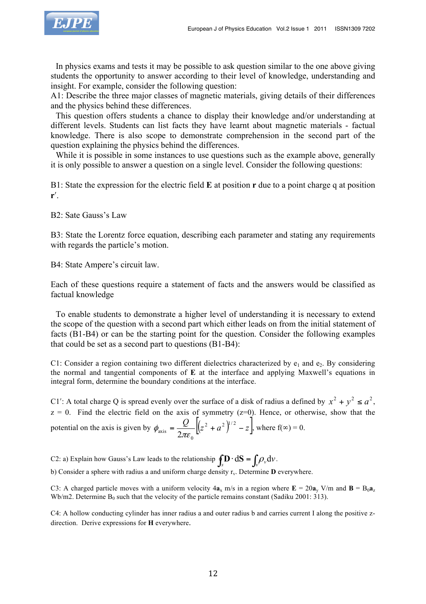

In physics exams and tests it may be possible to ask question similar to the one above giving students the opportunity to answer according to their level of knowledge, understanding and insight. For example, consider the following question:

A1: Describe the three major classes of magnetic materials, giving details of their differences and the physics behind these differences.

This question offers students a chance to display their knowledge and/or understanding at different levels. Students can list facts they have learnt about magnetic materials - factual knowledge. There is also scope to demonstrate comprehension in the second part of the question explaining the physics behind the differences.

While it is possible in some instances to use questions such as the example above, generally it is only possible to answer a question on a single level. Consider the following questions:

B1: State the expression for the electric field **E** at position **r** due to a point charge q at position **r**ʹ.

B2: Sate Gauss's Law

B3: State the Lorentz force equation, describing each parameter and stating any requirements with regards the particle's motion.

B4: State Ampere's circuit law.

Each of these questions require a statement of facts and the answers would be classified as factual knowledge

To enable students to demonstrate a higher level of understanding it is necessary to extend the scope of the question with a second part which either leads on from the initial statement of facts (B1-B4) or can be the starting point for the question. Consider the following examples that could be set as a second part to questions (B1-B4):

C1: Consider a region containing two different dielectrics characterized by  $e_1$  and  $e_2$ . By considering the normal and tangential components of **E** at the interface and applying Maxwell's equations in integral form, determine the boundary conditions at the interface.

C1': A total charge Q is spread evenly over the surface of a disk of radius a defined by  $x^2 + y^2 \le a^2$ ,  $z = 0$ . Find the electric field on the axis of symmetry ( $z=0$ ). Hence, or otherwise, show that the potential on the axis is given by  $\phi_{\text{axis}} = \frac{Q}{2} \left| \left( z^2 + a^2 \right)^{1/2} - z \right|$  $\phi_{\text{axis}} = \frac{Q}{2\pi\epsilon_0} \left[ \left( z^2 + a^2 \right)^{1/2} - z \right]$ , where  $f(\infty) = 0$ .

C2: a) Explain how Gauss's Law leads to the relationship  $\oint \mathbf{D} \cdot d\mathbf{S} = \int \rho_v dv$ .

b) Consider a sphere with radius a and uniform charge density r<sub>v</sub>. Determine **D** everywhere.

C3: A charged particle moves with a uniform velocity  $4a_x$  m/s in a region where  $\mathbf{E} = 20a_y$  V/m and  $\mathbf{B} = B_0a_z$ Wb/m2. Determine  $B_0$  such that the velocity of the particle remains constant (Sadiku 2001: 313).

C4: A hollow conducting cylinder has inner radius a and outer radius b and carries current I along the positive zdirection. Derive expressions for **H** everywhere.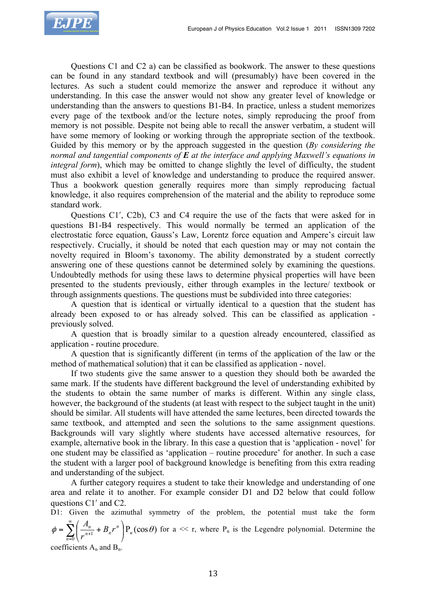

Questions C1 and C2 a) can be classified as bookwork. The answer to these questions can be found in any standard textbook and will (presumably) have been covered in the lectures. As such a student could memorize the answer and reproduce it without any understanding. In this case the answer would not show any greater level of knowledge or understanding than the answers to questions B1-B4. In practice, unless a student memorizes every page of the textbook and/or the lecture notes, simply reproducing the proof from memory is not possible. Despite not being able to recall the answer verbatim, a student will have some memory of looking or working through the appropriate section of the textbook. Guided by this memory or by the approach suggested in the question (*By considering the normal and tangential components of E at the interface and applying Maxwell's equations in integral form*), which may be omitted to change slightly the level of difficulty, the student must also exhibit a level of knowledge and understanding to produce the required answer. Thus a bookwork question generally requires more than simply reproducing factual knowledge, it also requires comprehension of the material and the ability to reproduce some standard work.

Questions C1ʹ, C2b), C3 and C4 require the use of the facts that were asked for in questions B1-B4 respectively. This would normally be termed an application of the electrostatic force equation, Gauss's Law, Lorentz force equation and Ampere's circuit law respectively. Crucially, it should be noted that each question may or may not contain the novelty required in Bloom's taxonomy. The ability demonstrated by a student correctly answering one of these questions cannot be determined solely by examining the questions. Undoubtedly methods for using these laws to determine physical properties will have been presented to the students previously, either through examples in the lecture/ textbook or through assignments questions. The questions must be subdivided into three categories:

A question that is identical or virtually identical to a question that the student has already been exposed to or has already solved. This can be classified as application previously solved.

A question that is broadly similar to a question already encountered, classified as application - routine procedure.

A question that is significantly different (in terms of the application of the law or the method of mathematical solution) that it can be classified as application - novel.

If two students give the same answer to a question they should both be awarded the same mark. If the students have different background the level of understanding exhibited by the students to obtain the same number of marks is different. Within any single class, however, the background of the students (at least with respect to the subject taught in the unit) should be similar. All students will have attended the same lectures, been directed towards the same textbook, and attempted and seen the solutions to the same assignment questions. Backgrounds will vary slightly where students have accessed alternative resources, for example, alternative book in the library. In this case a question that is 'application - novel' for one student may be classified as 'application – routine procedure' for another. In such a case the student with a larger pool of background knowledge is benefiting from this extra reading and understanding of the subject.

A further category requires a student to take their knowledge and understanding of one area and relate it to another. For example consider D1 and D2 below that could follow questions C1ʹ and C2.

D1: Given the azimuthal symmetry of the problem, the potential must take the form  $P_n(\cos \theta)$  $\phi = \sum_{n=0}^{\infty} \left( \frac{n}{r^{n+1}} + B_n r^n \right) P_n(\cos \theta)$ *n*  $\frac{I_n}{n+1} + B_n r$  $\sum_{n=0}^{\infty} \left( \frac{A}{r^n} \right)$  $\sum_{n=0}^{\infty} \left( \frac{n}{r^{n+1}} + B_n r^n \right)$ ⎠  $\left(\frac{A_n}{n+1}+B_n r^n\right)$ ⎝  $=\sum_{n=1}^{\infty}\left(\frac{A_n}{n+1}+B_n r^n\right)P_n(\cos\theta)$  for a << r, where  $P_n$  is the Legendre polynomial. Determine the

coefficients  $A_n$  and  $B_n$ .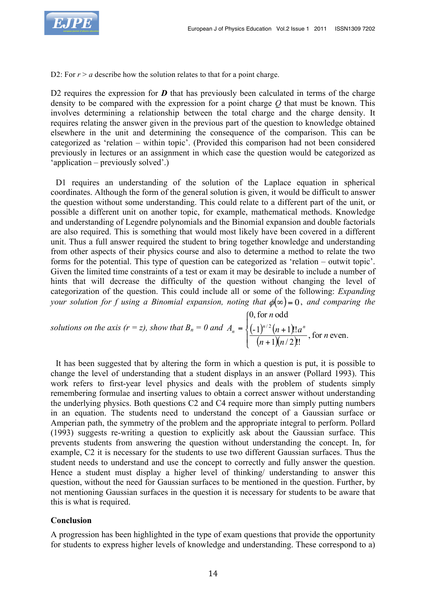

D2: For  $r > a$  describe how the solution relates to that for a point charge.

D2 requires the expression for **D** that has previously been calculated in terms of the charge density to be compared with the expression for a point charge *Q* that must be known. This involves determining a relationship between the total charge and the charge density. It requires relating the answer given in the previous part of the question to knowledge obtained elsewhere in the unit and determining the consequence of the comparison. This can be categorized as 'relation – within topic'. (Provided this comparison had not been considered previously in lectures or an assignment in which case the question would be categorized as 'application – previously solved'.)

D1 requires an understanding of the solution of the Laplace equation in spherical coordinates. Although the form of the general solution is given, it would be difficult to answer the question without some understanding. This could relate to a different part of the unit, or possible a different unit on another topic, for example, mathematical methods. Knowledge and understanding of Legendre polynomials and the Binomial expansion and double factorials are also required. This is something that would most likely have been covered in a different unit. Thus a full answer required the student to bring together knowledge and understanding from other aspects of their physics course and also to determine a method to relate the two forms for the potential. This type of question can be categorized as 'relation – outwit topic'. Given the limited time constraints of a test or exam it may be desirable to include a number of hints that will decrease the difficulty of the question without changing the level of categorization of the question. This could include all or some of the following: *Expanding your solution for f using a Binomial expansion, noting that*  $\phi(\infty) = 0$ *, and comparing the* 

*solutions on the axis (r = z), show that*  $B_n = 0$  *and*  $A_n = \left\{(-1)^{n/2} (n+1) \right\}$  $\sqrt{(n+1)(n/2)}$  $\frac{1}{2}$ ⎨  $\sqrt{ }$ +  $=\left\{\frac{(-1)^{n/2}(n+1)!a^n}{(n+1)!a^n}, \text{ for } n \text{ even.}\right\}$  $1)(n/2)!!$  $(-1)^{n/2}$   $(n+1)!!$  $0,$  for  $n$  odd / 2 *n n n*  $n + 1$ )!!*a n*  $A_n = \left\{ (-1)^{n/2} (n+1)! \right\} a^n$ 

It has been suggested that by altering the form in which a question is put, it is possible to change the level of understanding that a student displays in an answer (Pollard 1993). This work refers to first-year level physics and deals with the problem of students simply remembering formulae and inserting values to obtain a correct answer without understanding the underlying physics. Both questions C2 and C4 require more than simply putting numbers in an equation. The students need to understand the concept of a Gaussian surface or Amperian path, the symmetry of the problem and the appropriate integral to perform. Pollard (1993) suggests re-writing a question to explicitly ask about the Gaussian surface. This prevents students from answering the question without understanding the concept. In, for example, C2 it is necessary for the students to use two different Gaussian surfaces. Thus the student needs to understand and use the concept to correctly and fully answer the question. Hence a student must display a higher level of thinking/ understanding to answer this question, without the need for Gaussian surfaces to be mentioned in the question. Further, by not mentioning Gaussian surfaces in the question it is necessary for students to be aware that this is what is required.

## **Conclusion**

A progression has been highlighted in the type of exam questions that provide the opportunity for students to express higher levels of knowledge and understanding. These correspond to a)